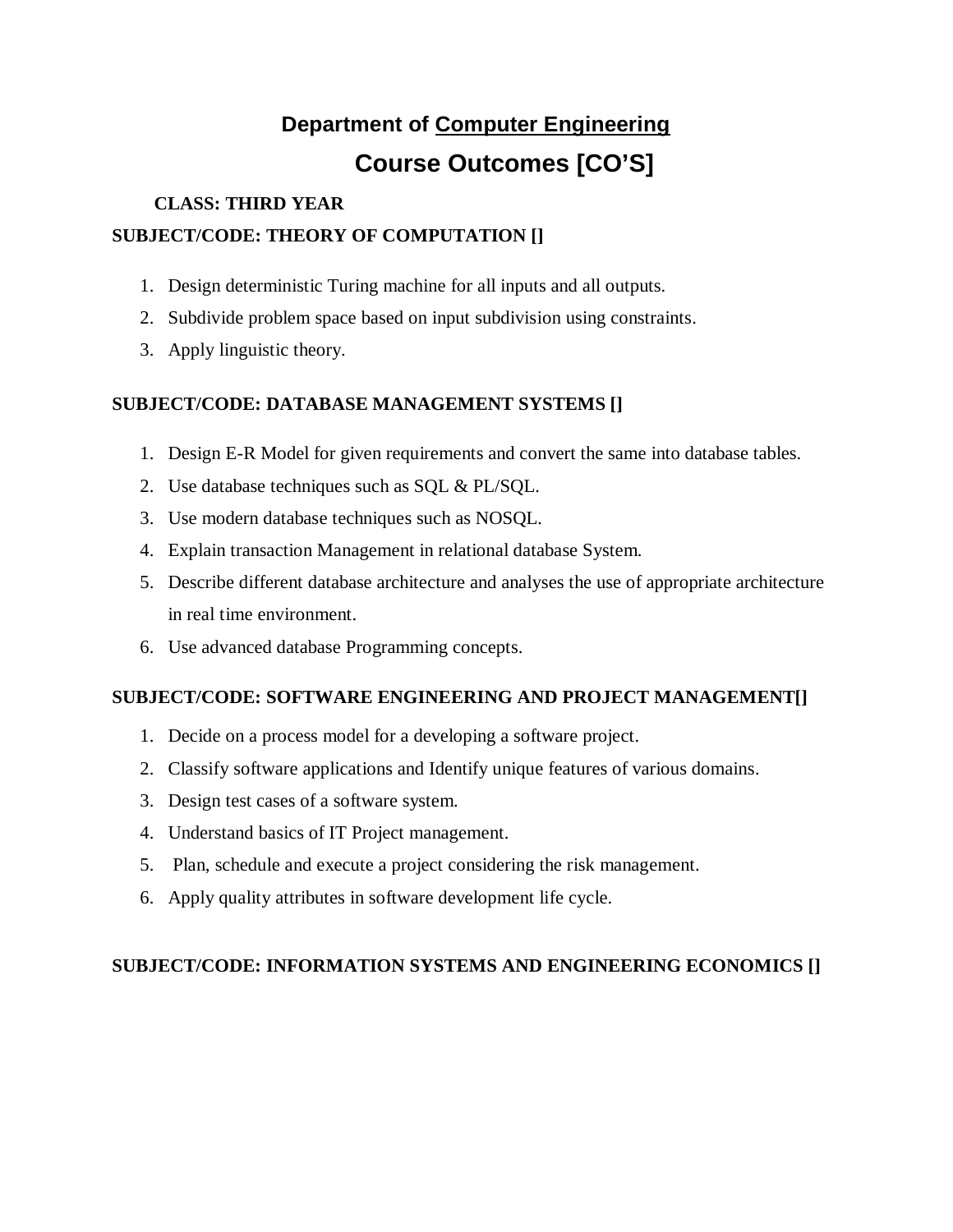# **Department of Computer Engineering Course Outcomes [CO'S]**

#### **CLASS: THIRD YEAR**

## **SUBJECT/CODE: THEORY OF COMPUTATION []**

- 1. Design deterministic Turing machine for all inputs and all outputs.
- 2. Subdivide problem space based on input subdivision using constraints.
- 3. Apply linguistic theory.

## **SUBJECT/CODE: DATABASE MANAGEMENT SYSTEMS []**

- 1. Design E-R Model for given requirements and convert the same into database tables.
- 2. Use database techniques such as SQL & PL/SQL.
- 3. Use modern database techniques such as NOSQL.
- 4. Explain transaction Management in relational database System.
- 5. Describe different database architecture and analyses the use of appropriate architecture in real time environment.
- 6. Use advanced database Programming concepts.

## **SUBJECT/CODE: SOFTWARE ENGINEERING AND PROJECT MANAGEMENT[]**

- 1. Decide on a process model for a developing a software project.
- 2. Classify software applications and Identify unique features of various domains.
- 3. Design test cases of a software system.
- 4. Understand basics of IT Project management.
- 5. Plan, schedule and execute a project considering the risk management.
- 6. Apply quality attributes in software development life cycle.

## **SUBJECT/CODE: INFORMATION SYSTEMS AND ENGINEERING ECONOMICS []**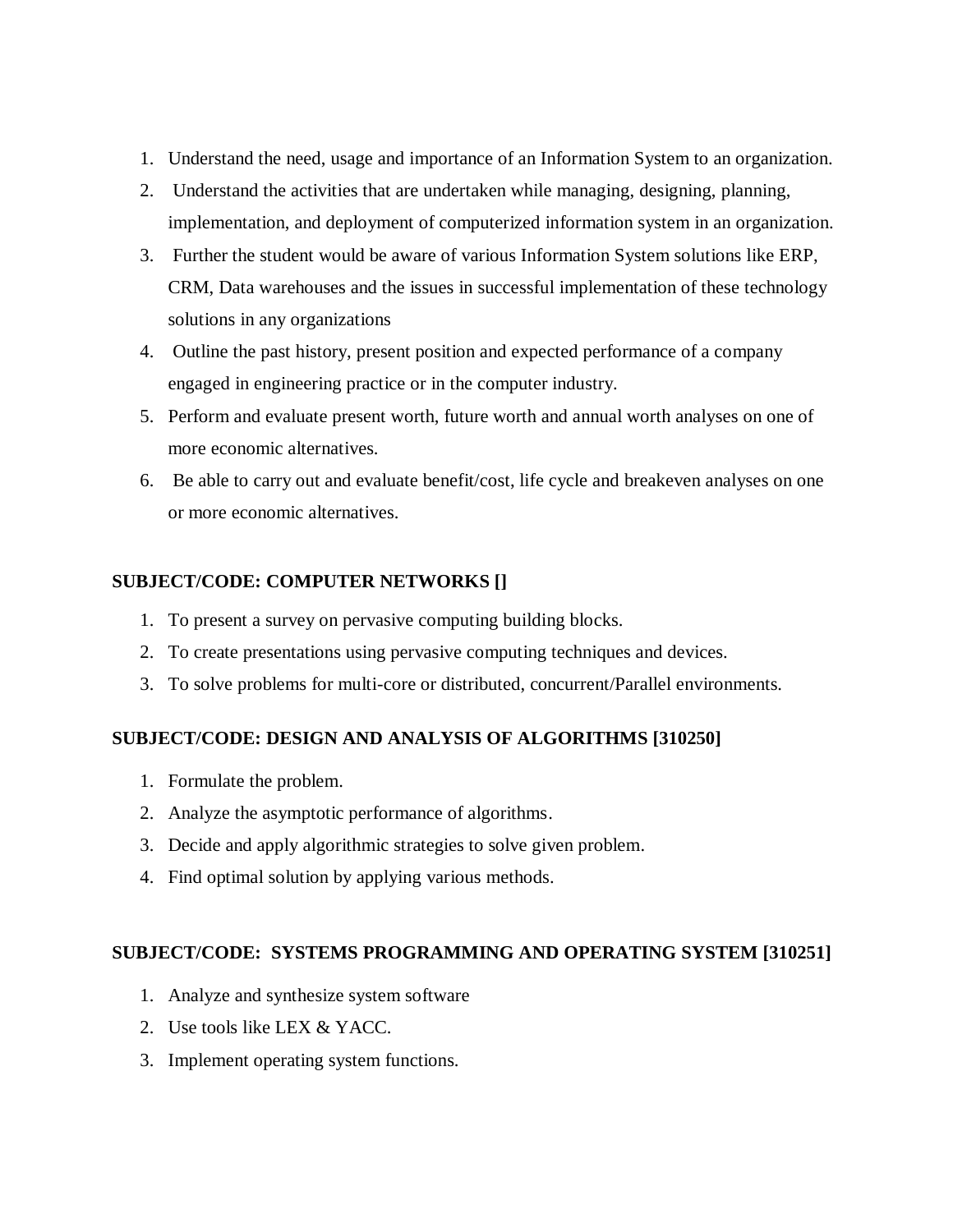- 1. Understand the need, usage and importance of an Information System to an organization.
- 2. Understand the activities that are undertaken while managing, designing, planning, implementation, and deployment of computerized information system in an organization.
- 3. Further the student would be aware of various Information System solutions like ERP, CRM, Data warehouses and the issues in successful implementation of these technology solutions in any organizations
- 4. Outline the past history, present position and expected performance of a company engaged in engineering practice or in the computer industry.
- 5. Perform and evaluate present worth, future worth and annual worth analyses on one of more economic alternatives.
- 6. Be able to carry out and evaluate benefit/cost, life cycle and breakeven analyses on one or more economic alternatives.

#### **SUBJECT/CODE: COMPUTER NETWORKS []**

- 1. To present a survey on pervasive computing building blocks.
- 2. To create presentations using pervasive computing techniques and devices.
- 3. To solve problems for multi-core or distributed, concurrent/Parallel environments.

#### **SUBJECT/CODE: DESIGN AND ANALYSIS OF ALGORITHMS [310250]**

- 1. Formulate the problem.
- 2. Analyze the asymptotic performance of algorithms.
- 3. Decide and apply algorithmic strategies to solve given problem.
- 4. Find optimal solution by applying various methods.

#### **SUBJECT/CODE: SYSTEMS PROGRAMMING AND OPERATING SYSTEM [310251]**

- 1. Analyze and synthesize system software
- 2. Use tools like LEX & YACC.
- 3. Implement operating system functions.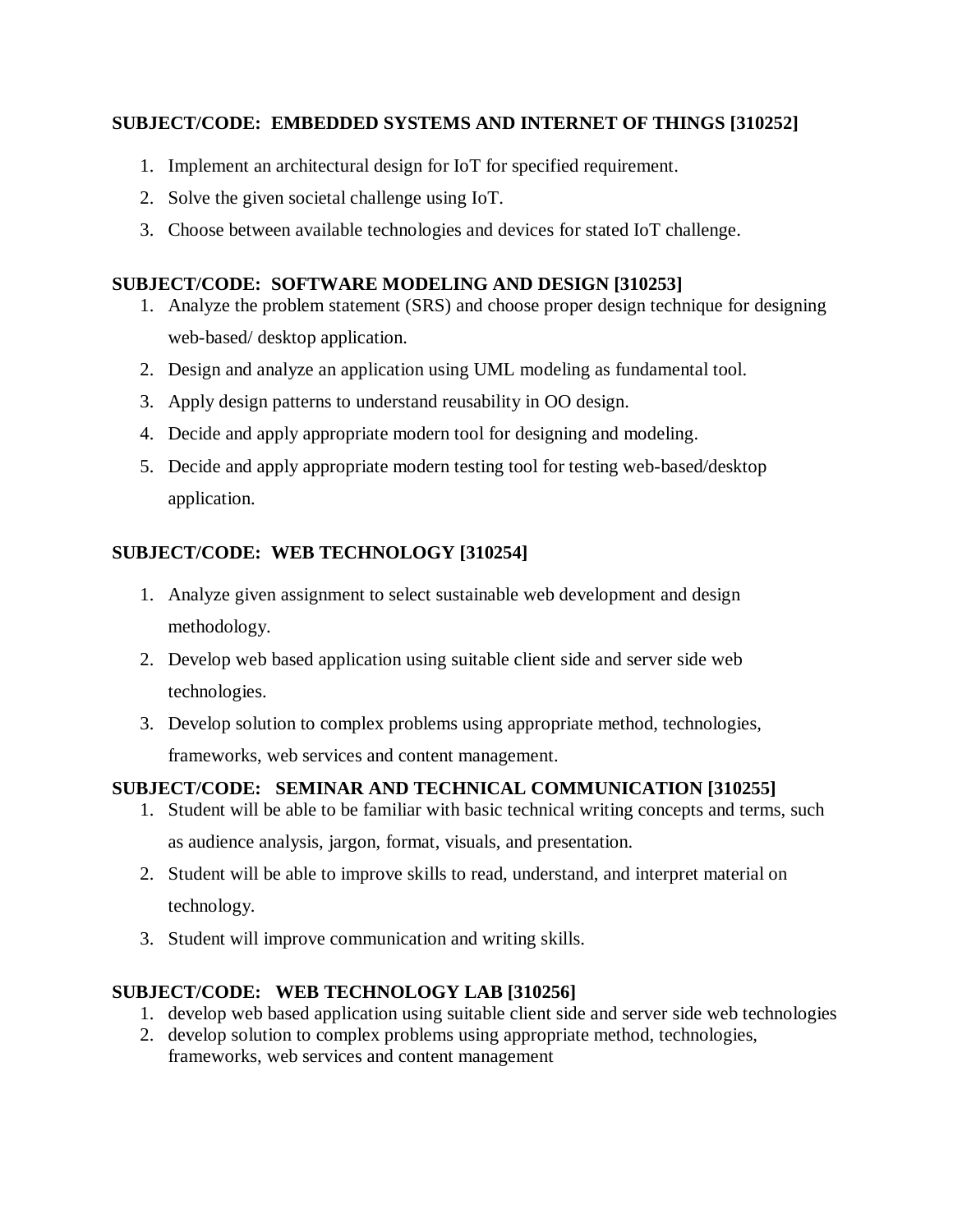#### **SUBJECT/CODE: EMBEDDED SYSTEMS AND INTERNET OF THINGS [310252]**

- 1. Implement an architectural design for IoT for specified requirement.
- 2. Solve the given societal challenge using IoT.
- 3. Choose between available technologies and devices for stated IoT challenge.

#### **SUBJECT/CODE: SOFTWARE MODELING AND DESIGN [310253]**

- 1. Analyze the problem statement (SRS) and choose proper design technique for designing web-based/ desktop application.
- 2. Design and analyze an application using UML modeling as fundamental tool.
- 3. Apply design patterns to understand reusability in OO design.
- 4. Decide and apply appropriate modern tool for designing and modeling.
- 5. Decide and apply appropriate modern testing tool for testing web-based/desktop application.

## **SUBJECT/CODE: WEB TECHNOLOGY [310254]**

- 1. Analyze given assignment to select sustainable web development and design methodology.
- 2. Develop web based application using suitable client side and server side web technologies.
- 3. Develop solution to complex problems using appropriate method, technologies, frameworks, web services and content management.

## **SUBJECT/CODE: SEMINAR AND TECHNICAL COMMUNICATION [310255]**

- 1. Student will be able to be familiar with basic technical writing concepts and terms, such as audience analysis, jargon, format, visuals, and presentation.
- 2. Student will be able to improve skills to read, understand, and interpret material on technology.
- 3. Student will improve communication and writing skills.

## **SUBJECT/CODE: WEB TECHNOLOGY LAB [310256]**

- 1. develop web based application using suitable client side and server side web technologies
- 2. develop solution to complex problems using appropriate method, technologies, frameworks, web services and content management